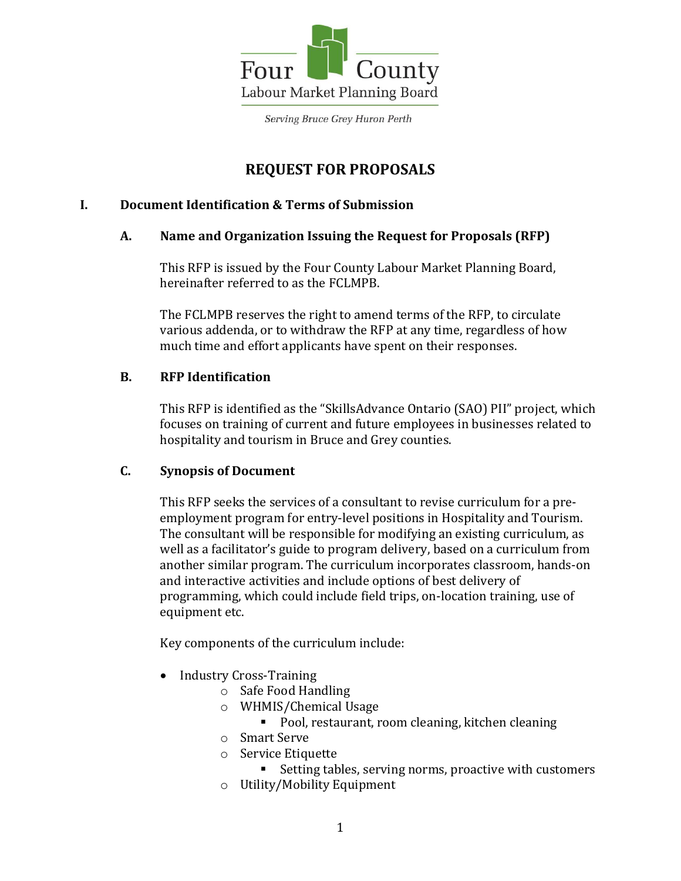

# **REQUEST FOR PROPOSALS**

## **I. Document Identification & Terms of Submission**

## **A. Name and Organization Issuing the Request for Proposals (RFP)**

This RFP is issued by the Four County Labour Market Planning Board, hereinafter referred to as the FCLMPB.

The FCLMPB reserves the right to amend terms of the RFP, to circulate various addenda, or to withdraw the RFP at any time, regardless of how much time and effort applicants have spent on their responses.

## **B. RFP Identification**

This RFP is identified as the "SkillsAdvance Ontario (SAO) PII" project, which focuses on training of current and future employees in businesses related to hospitality and tourism in Bruce and Grey counties.

# **C. Synopsis of Document**

This RFP seeks the services of a consultant to revise curriculum for a preemployment program for entry-level positions in Hospitality and Tourism. The consultant will be responsible for modifying an existing curriculum, as well as a facilitator's guide to program delivery, based on a curriculum from another similar program. The curriculum incorporates classroom, hands-on and interactive activities and include options of best delivery of programming, which could include field trips, on-location training, use of equipment etc.

Key components of the curriculum include:

- Industry Cross-Training
	- o Safe Food Handling
	- o WHMIS/Chemical Usage
		- Pool, restaurant, room cleaning, kitchen cleaning
	- o Smart Serve
	- o Service Etiquette
		- Setting tables, serving norms, proactive with customers
	- o Utility/Mobility Equipment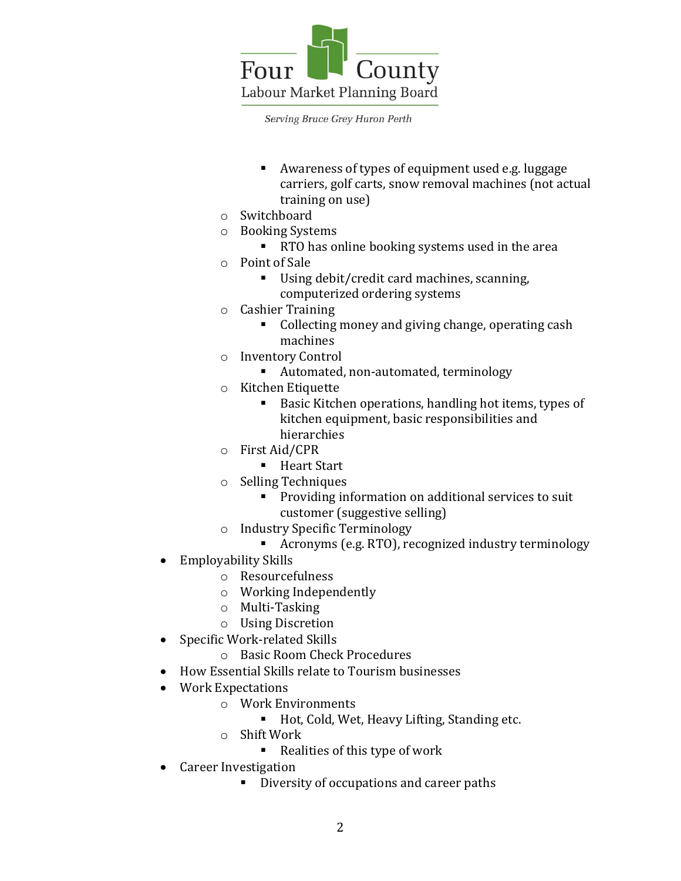

- Awareness of types of equipment used e.g. luggage carriers, golf carts, snow removal machines (not actual training on use)
- o Switchboard
- o Booking Systems
	- RTO has online booking systems used in the area
- o Point of Sale
	- Using debit/credit card machines, scanning, computerized ordering systems
- o Cashier Training
	- Collecting money and giving change, operating cash machines
- o Inventory Control
	- Automated, non-automated, terminology
- o Kitchen Etiquette
	- **Basic Kitchen operations, handling hot items, types of** kitchen equipment, basic responsibilities and hierarchies
- o First Aid/CPR
	- Heart Start
- o Selling Techniques
	- **Providing information on additional services to suit** customer (suggestive selling)
- o Industry Specific Terminology
	- Acronyms (e.g. RTO), recognized industry terminology
- Employability Skills
	- o Resourcefulness
	- o Working Independently
	- o Multi-Tasking
	- o Using Discretion
- Specific Work-related Skills
	- o Basic Room Check Procedures
- How Essential Skills relate to Tourism businesses
- Work Expectations
	- o Work Environments
		- Hot, Cold, Wet, Heavy Lifting, Standing etc.
	- o Shift Work
		- Realities of this type of work
- Career Investigation
	- Diversity of occupations and career paths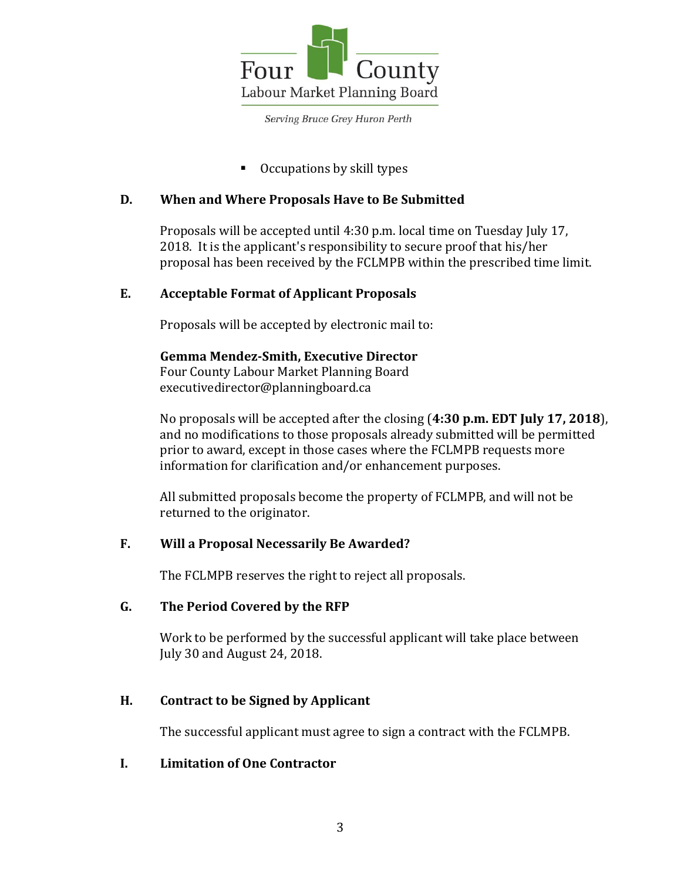

Occupations by skill types

#### **D. When and Where Proposals Have to Be Submitted**

Proposals will be accepted until 4:30 p.m. local time on Tuesday July 17, 2018. It is the applicant's responsibility to secure proof that his/her proposal has been received by the FCLMPB within the prescribed time limit.

## **E. Acceptable Format of Applicant Proposals**

Proposals will be accepted by electronic mail to:

**Gemma Mendez-Smith, Executive Director**  Four County Labour Market Planning Board executivedirector@planningboard.ca

No proposals will be accepted after the closing (**4:30 p.m. EDT July 17, 2018**), and no modifications to those proposals already submitted will be permitted prior to award, except in those cases where the FCLMPB requests more information for clarification and/or enhancement purposes.

All submitted proposals become the property of FCLMPB, and will not be returned to the originator.

# **F. Will a Proposal Necessarily Be Awarded?**

The FCLMPB reserves the right to reject all proposals.

#### **G. The Period Covered by the RFP**

Work to be performed by the successful applicant will take place between July 30 and August 24, 2018.

#### **H. Contract to be Signed by Applicant**

The successful applicant must agree to sign a contract with the FCLMPB.

#### **I. Limitation of One Contractor**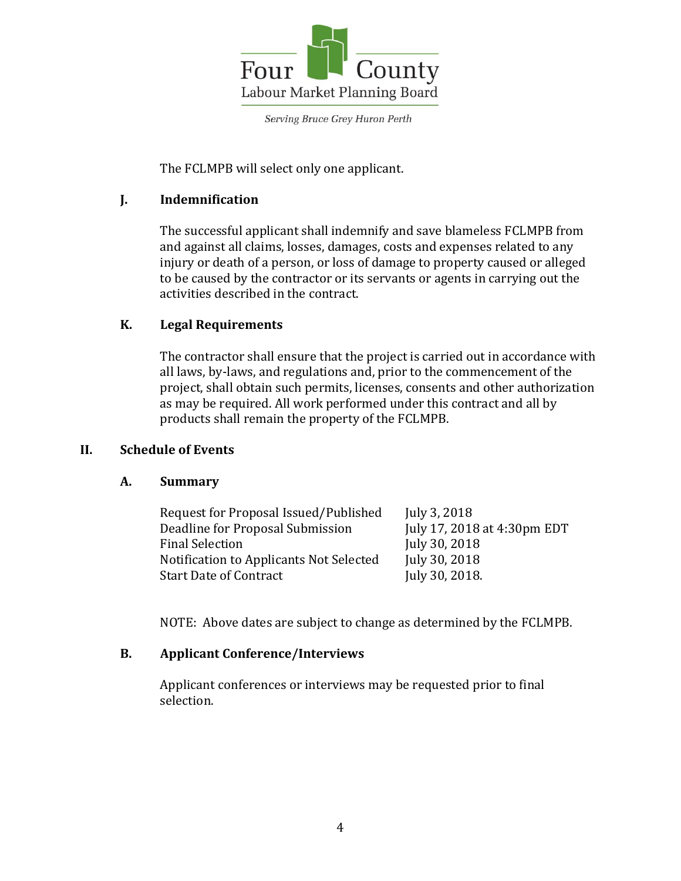

The FCLMPB will select only one applicant.

## **J. Indemnification**

The successful applicant shall indemnify and save blameless FCLMPB from and against all claims, losses, damages, costs and expenses related to any injury or death of a person, or loss of damage to property caused or alleged to be caused by the contractor or its servants or agents in carrying out the activities described in the contract.

## **K. Legal Requirements**

The contractor shall ensure that the project is carried out in accordance with all laws, by-laws, and regulations and, prior to the commencement of the project, shall obtain such permits, licenses, consents and other authorization as may be required. All work performed under this contract and all by products shall remain the property of the FCLMPB.

#### **II. Schedule of Events**

#### **A. Summary**

| Request for Proposal Issued/Published   | July 3, 2018                |
|-----------------------------------------|-----------------------------|
| Deadline for Proposal Submission        | July 17, 2018 at 4:30pm EDT |
| <b>Final Selection</b>                  | July 30, 2018               |
| Notification to Applicants Not Selected | July 30, 2018               |
| <b>Start Date of Contract</b>           | July 30, 2018.              |

NOTE: Above dates are subject to change as determined by the FCLMPB.

#### **B. Applicant Conference/Interviews**

Applicant conferences or interviews may be requested prior to final selection.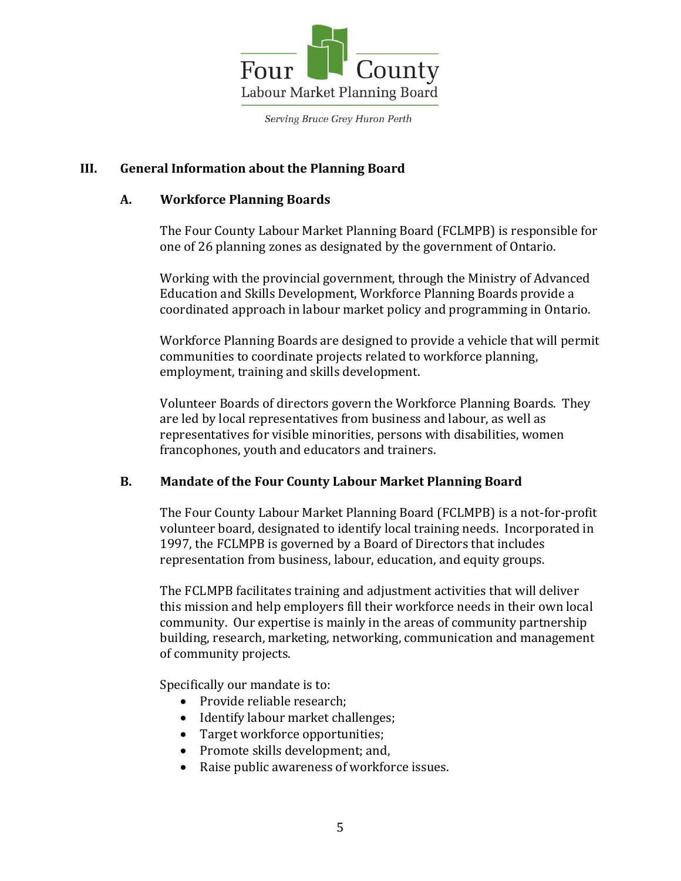

#### **III. General Information about the Planning Board**

#### **A. Workforce Planning Boards**

The Four County Labour Market Planning Board (FCLMPB) is responsible for one of 26 planning zones as designated by the government of Ontario.

Working with the provincial government, through the Ministry of Advanced Education and Skills Development, Workforce Planning Boards provide a coordinated approach in labour market policy and programming in Ontario.

Workforce Planning Boards are designed to provide a vehicle that will permit communities to coordinate projects related to workforce planning, employment, training and skills development.

Volunteer Boards of directors govern the Workforce Planning Boards. They are led by local representatives from business and labour, as well as representatives for visible minorities, persons with disabilities, women francophones, youth and educators and trainers.

#### **B. Mandate of the Four County Labour Market Planning Board**

The Four County Labour Market Planning Board (FCLMPB) is a not-for-profit volunteer board, designated to identify local training needs. Incorporated in 1997, the FCLMPB is governed by a Board of Directors that includes representation from business, labour, education, and equity groups.

The FCLMPB facilitates training and adjustment activities that will deliver this mission and help employers fill their workforce needs in their own local community. Our expertise is mainly in the areas of community partnership building, research, marketing, networking, communication and management of community projects.

Specifically our mandate is to:

- Provide reliable research:
- Identify labour market challenges;
- Target workforce opportunities;
- Promote skills development; and,
- Raise public awareness of workforce issues.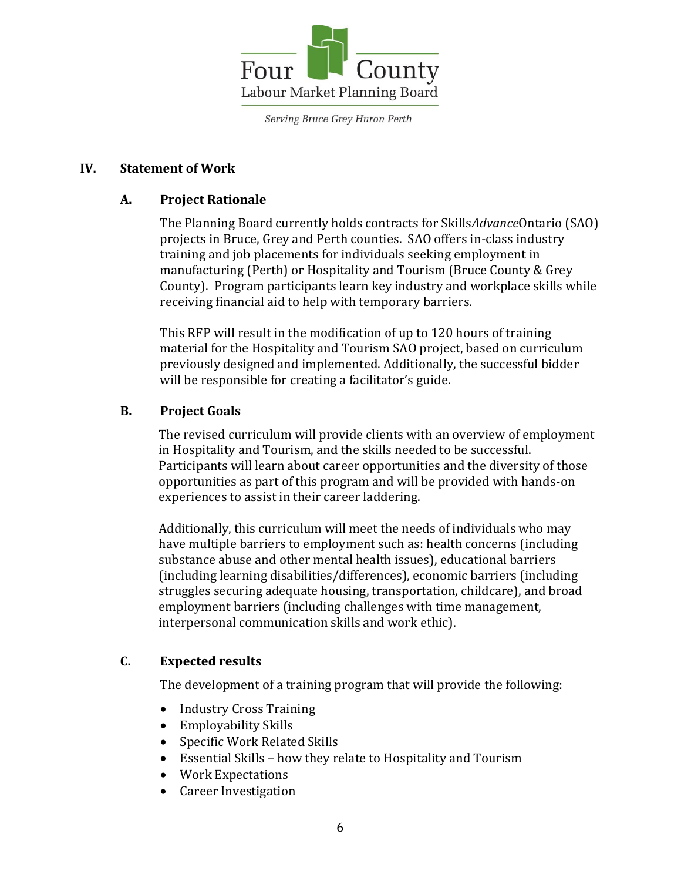

#### **IV. Statement of Work**

#### **A. Project Rationale**

The Planning Board currently holds contracts for Skills*Advance*Ontario (SAO) projects in Bruce, Grey and Perth counties. SAO offers in-class industry training and job placements for individuals seeking employment in manufacturing (Perth) or Hospitality and Tourism (Bruce County & Grey County). Program participants learn key industry and workplace skills while receiving financial aid to help with temporary barriers.

This RFP will result in the modification of up to 120 hours of training material for the Hospitality and Tourism SAO project, based on curriculum previously designed and implemented. Additionally, the successful bidder will be responsible for creating a facilitator's guide.

#### **B. Project Goals**

The revised curriculum will provide clients with an overview of employment in Hospitality and Tourism, and the skills needed to be successful. Participants will learn about career opportunities and the diversity of those opportunities as part of this program and will be provided with hands-on experiences to assist in their career laddering.

Additionally, this curriculum will meet the needs of individuals who may have multiple barriers to employment such as: health concerns (including substance abuse and other mental health issues), educational barriers (including learning disabilities/differences), economic barriers (including struggles securing adequate housing, transportation, childcare), and broad employment barriers (including challenges with time management, interpersonal communication skills and work ethic).

#### **C. Expected results**

The development of a training program that will provide the following:

- Industry Cross Training
- Employability Skills
- Specific Work Related Skills
- Essential Skills how they relate to Hospitality and Tourism
- Work Expectations
- Career Investigation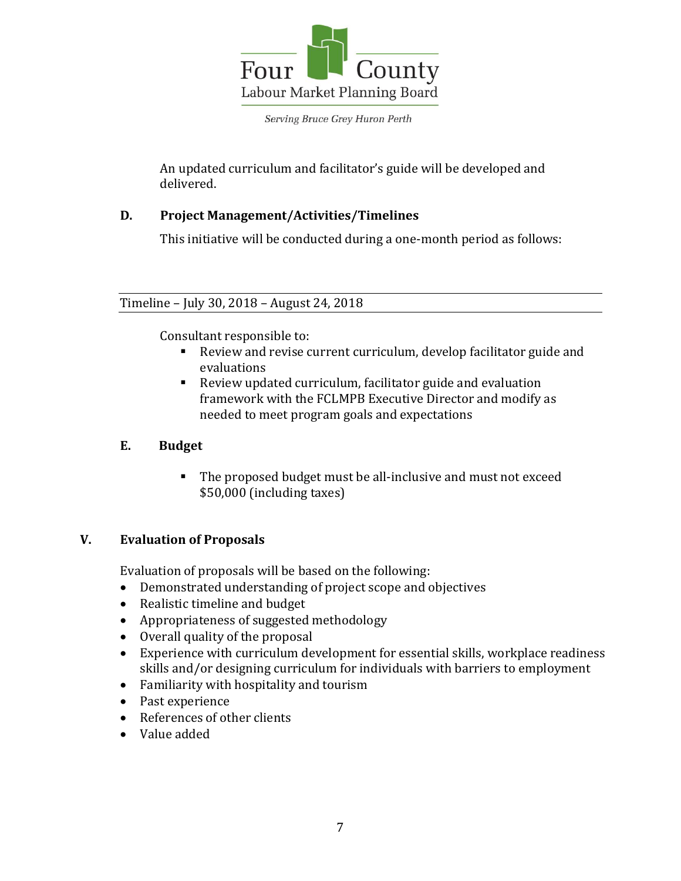

An updated curriculum and facilitator's guide will be developed and delivered.

## **D. Project Management/Activities/Timelines**

This initiative will be conducted during a one-month period as follows:

## Timeline – July 30, 2018 – August 24, 2018

Consultant responsible to:

- Review and revise current curriculum, develop facilitator guide and evaluations
- Review updated curriculum, facilitator guide and evaluation framework with the FCLMPB Executive Director and modify as needed to meet program goals and expectations

## **E. Budget**

The proposed budget must be all-inclusive and must not exceed \$50,000 (including taxes)

#### **V. Evaluation of Proposals**

Evaluation of proposals will be based on the following:

- Demonstrated understanding of project scope and objectives
- Realistic timeline and budget
- Appropriateness of suggested methodology
- Overall quality of the proposal
- Experience with curriculum development for essential skills, workplace readiness skills and/or designing curriculum for individuals with barriers to employment
- Familiarity with hospitality and tourism
- Past experience
- References of other clients
- Value added